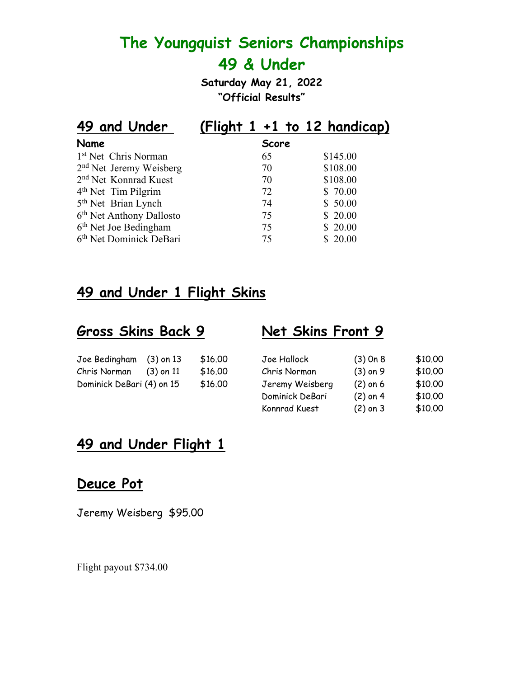**Saturday May 21, 2022 "Official Results"**

| 49 and Under                         | (Flight $1 + 1$ to 12 handicap) |          |
|--------------------------------------|---------------------------------|----------|
| Name                                 | <b>Score</b>                    |          |
| 1 <sup>st</sup> Net Chris Norman     | 65                              | \$145.00 |
| 2 <sup>nd</sup> Net Jeremy Weisberg  | 70                              | \$108.00 |
| 2 <sup>nd</sup> Net Konnrad Kuest    | 70                              | \$108.00 |
| 4 <sup>th</sup> Net Tim Pilgrim      | 72                              | \$70.00  |
| 5 <sup>th</sup> Net Brian Lynch      | 74                              | \$50.00  |
| 6 <sup>th</sup> Net Anthony Dallosto | 75                              | \$20.00  |
| 6 <sup>th</sup> Net Joe Bedingham    | 75                              | \$20.00  |
| 6 <sup>th</sup> Net Dominick DeBari  | 75                              | \$20.00  |

# **49 and Under 1 Flight Skins**

## **Gross Skins Back 9 Net Skins Front 9**

| Joe Bedingham             | $(3)$ on 13 | \$16.00 |
|---------------------------|-------------|---------|
| Chris Norman              | $(3)$ on 11 | \$16.00 |
| Dominick DeBari (4) on 15 |             | \$16.00 |

| Joe Bedingham             | $(3)$ on 13 | \$16,00 | Joe Hallock     | $(3)$ On 8 | \$10,00 |
|---------------------------|-------------|---------|-----------------|------------|---------|
| Chris Norman              | $(3)$ on 11 | \$16,00 | Chris Norman    | $(3)$ on 9 | \$10,00 |
| Dominick DeBari (4) on 15 |             | \$16,00 | Jeremy Weisberg | $(2)$ on 6 | \$10,00 |
|                           |             |         | Dominick DeBari | $(2)$ on 4 | \$10,00 |
|                           |             |         | Konnrad Kuest   | $(2)$ on 3 | \$10.00 |

# **49 and Under Flight 1**

## **Deuce Pot**

Jeremy Weisberg \$95.00

Flight payout \$734.00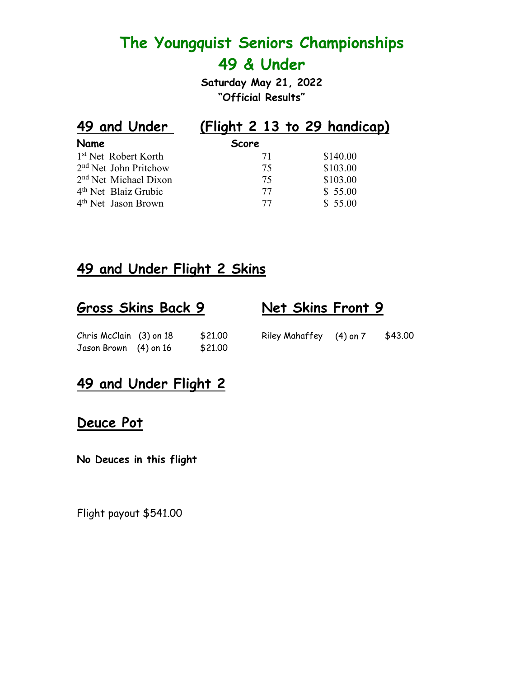**Saturday May 21, 2022 "Official Results"**

| <b>Score</b> |                              |
|--------------|------------------------------|
| 71           | \$140.00                     |
| 75           | \$103.00                     |
| 75           | \$103.00                     |
| 77           | \$55.00                      |
| 77           | \$55.00                      |
|              | (Flight 2 13 to 29 handicap) |

# **49 and Under Flight 2 Skins**

| <b>Gross Skins Back 9</b> |         | Net Skins Front 9       |         |
|---------------------------|---------|-------------------------|---------|
| Chris McClain (3) on 18   | \$21,00 | Riley Mahaffey (4) on 7 | \$43.00 |
| Jason Brown (4) on 16     | \$21,00 |                         |         |

# **49 and Under Flight 2**

## **Deuce Pot**

**No Deuces in this flight**

Flight payout \$541.00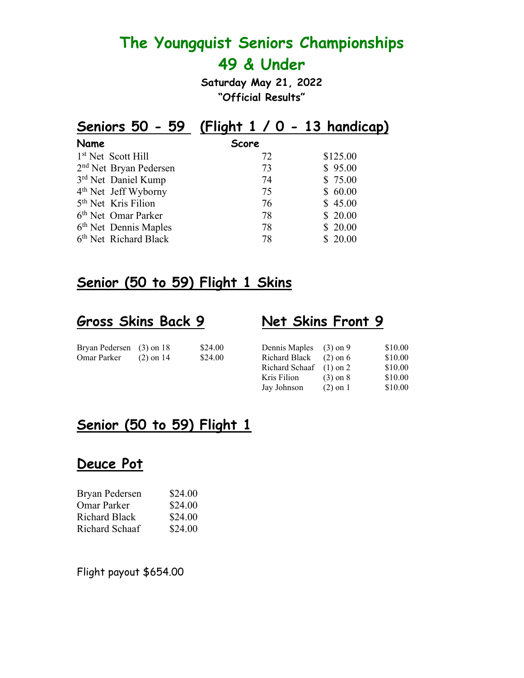**Saturday May 21, 2022 "Official Results"**

| Seniors 50 - 59 (Flight $1/0$ - 13 handicap) |          |
|----------------------------------------------|----------|
| <b>Score</b>                                 |          |
| 72                                           | \$125.00 |
| 73                                           | \$95.00  |
| 74                                           | \$75.00  |
| 75                                           | \$60.00  |
| 76                                           | \$45.00  |
| 78                                           | \$20.00  |
| 78                                           | \$20.00  |
| 78                                           | \$20.00  |
|                                              |          |

# **Senior (50 to 59) Flight 1 Skins**

### **Gross Skins Back 9 Net Skins Front 9**

| Bryan Pedersen (3) on 18 |             | \$24.00 | Dennis Maples (3) on 9   | \$10.00 |
|--------------------------|-------------|---------|--------------------------|---------|
| Omar Parker              | $(2)$ on 14 | \$24.00 | Richard Black $(2)$ on 6 | \$10.00 |

| Bryan Pedersen (3) on 18 |             | \$24.00 | Dennis Maples (3) on 9    |              | \$10.00 |
|--------------------------|-------------|---------|---------------------------|--------------|---------|
| Omar Parker              | $(2)$ on 14 | \$24.00 | Richard Black             | $(2)$ on 6   | \$10.00 |
|                          |             |         | Richard Schaaf $(1)$ on 2 |              | \$10.00 |
|                          |             |         | Kris Filion               | $(3)$ on $8$ | \$10.00 |
|                          |             |         | Jay Johnson               | $(2)$ on 1   | \$10.00 |
|                          |             |         |                           |              |         |

# **Senior (50 to 59) Flight 1**

### **Deuce Pot**

| Bryan Pedersen       | \$24.00 |
|----------------------|---------|
| <b>Omar Parker</b>   | \$24.00 |
| <b>Richard Black</b> | \$24.00 |
| Richard Schaaf       | \$24.00 |

Flight payout \$654.00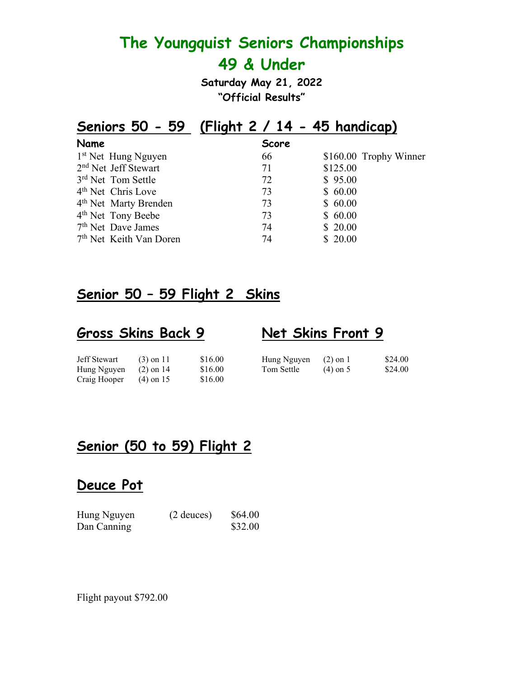**Saturday May 21, 2022 "Official Results"**

# **Seniors 50 - 59 (Flight 2 / 14 - 45 handicap)**

| Name |                                     | <b>Score</b> |                        |
|------|-------------------------------------|--------------|------------------------|
|      | 1 <sup>st</sup> Net Hung Nguyen     | 66           | \$160.00 Trophy Winner |
|      | 2 <sup>nd</sup> Net Jeff Stewart    | 71           | \$125.00               |
|      | 3rd Net Tom Settle                  | 72           | \$95.00                |
|      | 4 <sup>th</sup> Net Chris Love      | 73           | \$60.00                |
|      | 4 <sup>th</sup> Net Marty Brenden   | 73           | \$60.00                |
|      | 4 <sup>th</sup> Net Tony Beebe      | 73           | \$60.00                |
|      | 7 <sup>th</sup> Net Dave James      | 74           | \$20.00                |
|      | 7 <sup>th</sup> Net Keith Van Doren | 74           | \$20.00                |

# **Senior 50 – 59 Flight 2 Skins**

#### **Gross Skins Back 9 Net Skins Front 9**

| Jeff Stewart            | $(3)$ on 11 | \$16.00 | Hung Nguyen $(2)$ on 1 |            | \$24.00 |
|-------------------------|-------------|---------|------------------------|------------|---------|
| Hung Nguyen $(2)$ on 14 |             | \$16.00 | Tom Settle             | $(4)$ on 5 | \$24.00 |
| Craig Hooper            | $(4)$ on 15 | \$16.00 |                        |            |         |

# **Senior (50 to 59) Flight 2**

### **Deuce Pot**

| Hung Nguyen | $(2$ deuces) | \$64.00 |
|-------------|--------------|---------|
| Dan Canning |              | \$32.00 |

Flight payout \$792.00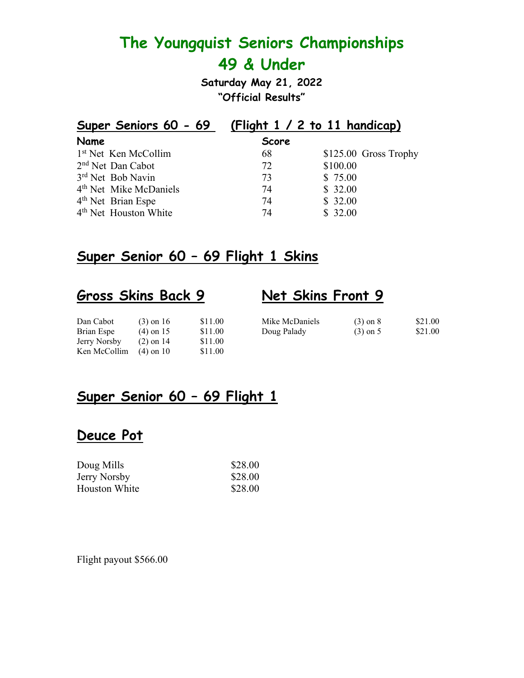**Saturday May 21, 2022 "Official Results"**

| Super Seniors 60 - 69              |              | (Flight $1 / 2$ to $11$ handicap) |
|------------------------------------|--------------|-----------------------------------|
| Name                               | <b>Score</b> |                                   |
| 1 <sup>st</sup> Net Ken McCollim   | 68           | $$125.00$ Gross Trophy            |
| 2 <sup>nd</sup> Net Dan Cabot      | 72           | \$100.00                          |
| 3rd Net Bob Navin                  | 73           | \$75.00                           |
| 4 <sup>th</sup> Net Mike McDaniels | 74           | \$32.00                           |
| 4 <sup>th</sup> Net Brian Espe     | 74           | \$32.00                           |
| 4 <sup>th</sup> Net Houston White  | 74           | \$32.00                           |

## **Super Senior 60 – 69 Flight 1 Skins**

# **Gross Skins Back 9 Net Skins Front 9**

| Dan Cabot    | $(3)$ on 16 | \$11.00 | Mike McDaniels | $(3)$ on $8$ | \$21.00 |
|--------------|-------------|---------|----------------|--------------|---------|
| Brian Espe   | $(4)$ on 15 | \$11.00 | Doug Palady    | $(3)$ on 5   | \$21.00 |
| Jerry Norsby | $(2)$ on 14 | \$11.00 |                |              |         |
| Ken McCollim | $(4)$ on 10 | \$11.00 |                |              |         |

# **Super Senior 60 – 69 Flight 1**

# **Deuce Pot**

| Doug Mills          | \$28.00 |
|---------------------|---------|
| <b>Jerry Norsby</b> | \$28.00 |
| Houston White       | \$28.00 |

Flight payout \$566.00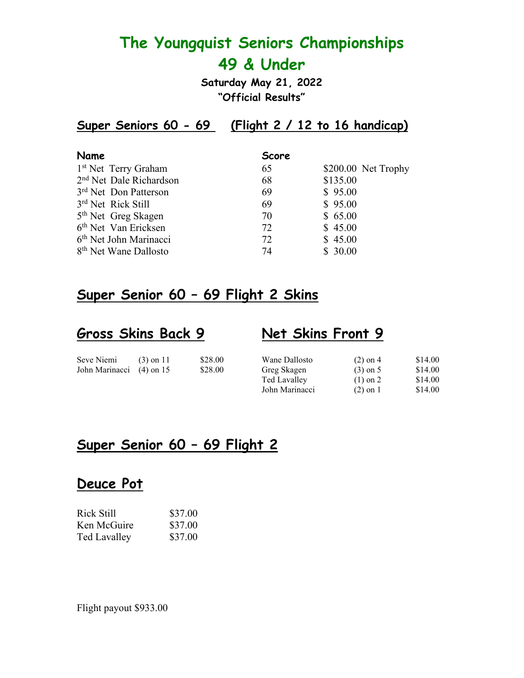**Saturday May 21, 2022 "Official Results"**

**Super Seniors 60 - 69 (Flight 2 / 12 to 16 handicap)**

| Name                                | <b>Score</b>              |
|-------------------------------------|---------------------------|
| 1 <sup>st</sup> Net Terry Graham    | \$200.00 Net Trophy<br>65 |
| 2 <sup>nd</sup> Net Dale Richardson | \$135.00<br>68            |
| 3 <sup>rd</sup> Net Don Patterson   | \$95.00<br>69             |
| 3rd Net Rick Still                  | \$95.00<br>69             |
| 5 <sup>th</sup> Net Greg Skagen     | \$65.00<br>70             |
| 6 <sup>th</sup> Net Van Ericksen    | \$45.00<br>72             |
| 6 <sup>th</sup> Net John Marinacci  | \$45.00<br>72             |
| 8 <sup>th</sup> Net Wane Dallosto   | \$30.00<br>74             |

### **Super Senior 60 – 69 Flight 2 Skins**

## **Gross Skins Back 9 Net Skins Front 9**

| Seve Niemi               | $(3)$ on 11 | \$28.00 | Wane Dallosto  | $(2)$ on 4 | \$14.00 |
|--------------------------|-------------|---------|----------------|------------|---------|
| John Marinacci (4) on 15 |             | \$28.00 | Greg Skagen    | $(3)$ on 5 | \$14.00 |
|                          |             |         | Ted Lavalley   | $(1)$ on 2 | \$14.00 |
|                          |             |         | John Marinacci | $(2)$ on 1 | \$14.00 |

## **Super Senior 60 – 69 Flight 2**

### **Deuce Pot**

| Rick Still   | \$37.00 |
|--------------|---------|
| Ken McGuire  | \$37.00 |
| Ted Lavalley | \$37.00 |

Flight payout \$933.00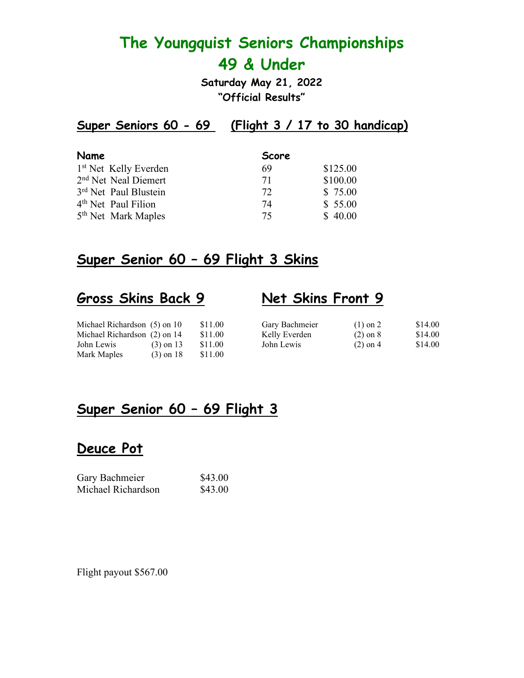**Saturday May 21, 2022 "Official Results"**

# **Super Seniors 60 - 69 (Flight 3 / 17 to 30 handicap)**

| Name                              | <b>Score</b> |          |
|-----------------------------------|--------------|----------|
| 1 <sup>st</sup> Net Kelly Everden | 69           | \$125.00 |
| 2 <sup>nd</sup> Net Neal Diemert  | 71           | \$100.00 |
| 3rd Net Paul Blustein             | 72           | \$75.00  |
| 4 <sup>th</sup> Net Paul Filion   | 74           | \$55.00  |
| 5 <sup>th</sup> Net Mark Maples   | 75           | \$40.00  |

#### **Super Senior 60 – 69 Flight 3 Skins**

## **Gross Skins Back 9 Net Skins Front 9**

| Michael Richardson (5) on 10 |             | \$11.00 | Gary Bachmeier | $(1)$ on 2   | \$14.00 |
|------------------------------|-------------|---------|----------------|--------------|---------|
| Michael Richardson (2) on 14 |             | \$11.00 | Kelly Everden  | $(2)$ on $8$ | \$14.00 |
| John Lewis                   | $(3)$ on 13 | \$11.00 | John Lewis     | $(2)$ on 4   | \$14.00 |
| Mark Maples                  | $(3)$ on 18 | \$11.00 |                |              |         |
|                              |             |         |                |              |         |

### **Super Senior 60 – 69 Flight 3**

#### **Deuce Pot**

| Gary Bachmeier     | \$43.00 |
|--------------------|---------|
| Michael Richardson | \$43.00 |

Flight payout \$567.00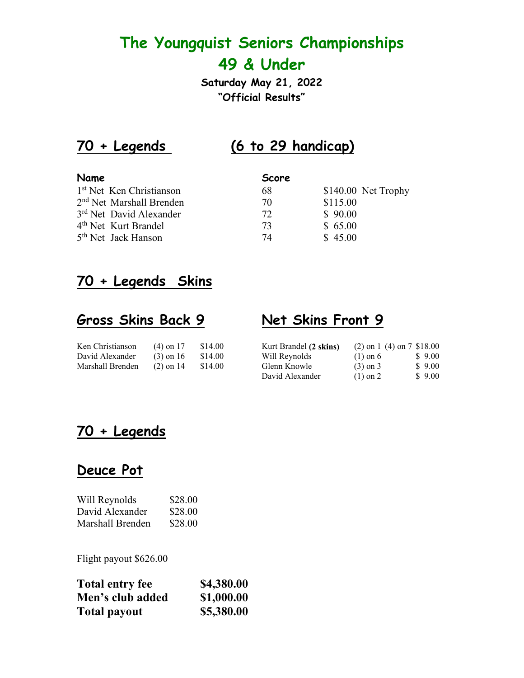**Saturday May 21, 2022 "Official Results"**

# **70 + Legends (6 to 29 handicap)**

| <b>Name</b>                          | Score |                      |
|--------------------------------------|-------|----------------------|
| 1 <sup>st</sup> Net Ken Christianson | 68    | $$140.00$ Net Trophy |
| 2 <sup>nd</sup> Net Marshall Brenden | 70    | \$115.00             |
| 3 <sup>rd</sup> Net David Alexander  | 72    | \$90.00              |
| 4 <sup>th</sup> Net Kurt Brandel     | 73    | \$65.00              |
| 5 <sup>th</sup> Net Jack Hanson      | 74    | \$45.00              |

# **70 + Legends Skins**

# **Gross Skins Back 9 Net Skins Front 9**

| Ken Christianson | $(4)$ on 17 | \$14.00 |
|------------------|-------------|---------|
| David Alexander  | $(3)$ on 16 | \$14.00 |
| Marshall Brenden | $(2)$ on 14 | \$14.00 |

| Ken Christianson | $(4)$ on 17 | \$14.00 | Kurt Brandel (2 skins) | $(2)$ on 1 $(4)$ on 7 \$18.00 |        |
|------------------|-------------|---------|------------------------|-------------------------------|--------|
| David Alexander  | $(3)$ on 16 | \$14.00 | Will Reynolds          | $(1)$ on 6                    | \$9.00 |
| Marshall Brenden | $(2)$ on 14 | \$14.00 | Glenn Knowle           | $(3)$ on 3                    | \$9.00 |
|                  |             |         | David Alexander        | $(1)$ on 2                    | \$9.00 |

# **70 + Legends**

# **Deuce Pot**

| Will Reynolds    | \$28.00 |
|------------------|---------|
| David Alexander  | \$28.00 |
| Marshall Brenden | \$28.00 |

Flight payout \$626.00

| <b>Total entry fee</b> | \$4,380.00 |
|------------------------|------------|
| Men's club added       | \$1,000.00 |
| <b>Total payout</b>    | \$5,380.00 |